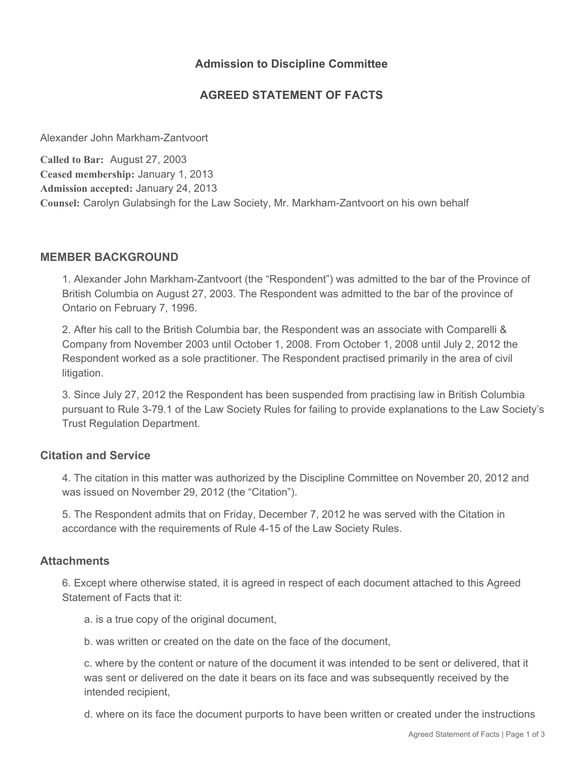## **Admission to Discipline Committee**

# **AGREED STATEMENT OF FACTS**

Alexander John Markham-Zantvoort

**Called to Bar:** August 27, 2003 **Ceased membership:** January 1, 2013 **Admission accepted:** January 24, 2013 **Counsel:** Carolyn Gulabsingh for the Law Society, Mr. Markham-Zantvoort on his own behalf

### **MEMBER BACKGROUND**

1. Alexander John Markham-Zantvoort (the "Respondent") was admitted to the bar of the Province of British Columbia on August 27, 2003. The Respondent was admitted to the bar of the province of Ontario on February 7, 1996.

2. After his call to the British Columbia bar, the Respondent was an associate with Comparelli & Company from November 2003 until October 1, 2008. From October 1, 2008 until July 2, 2012 the Respondent worked as a sole practitioner. The Respondent practised primarily in the area of civil litigation.

3. Since July 27, 2012 the Respondent has been suspended from practising law in British Columbia pursuant to Rule 3-79.1 of the Law Society Rules for failing to provide explanations to the Law Society's Trust Regulation Department.

#### **Citation and Service**

4. The citation in this matter was authorized by the Discipline Committee on November 20, 2012 and was issued on November 29, 2012 (the "Citation").

5. The Respondent admits that on Friday, December 7, 2012 he was served with the Citation in accordance with the requirements of Rule 4-15 of the Law Society Rules.

#### **Attachments**

6. Except where otherwise stated, it is agreed in respect of each document attached to this Agreed Statement of Facts that it:

a. is a true copy of the original document,

b. was written or created on the date on the face of the document,

c. where by the content or nature of the document it was intended to be sent or delivered, that it was sent or delivered on the date it bears on its face and was subsequently received by the intended recipient,

d. where on its face the document purports to have been written or created under the instructions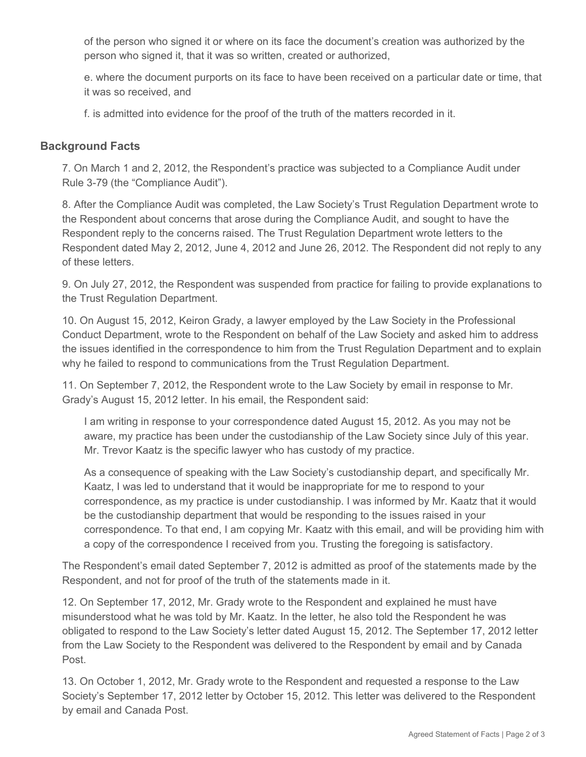of the person who signed it or where on its face the document's creation was authorized by the person who signed it, that it was so written, created or authorized,

e. where the document purports on its face to have been received on a particular date or time, that it was so received, and

f. is admitted into evidence for the proof of the truth of the matters recorded in it.

### **Background Facts**

7. On March 1 and 2, 2012, the Respondent's practice was subjected to a Compliance Audit under Rule 3-79 (the "Compliance Audit").

8. After the Compliance Audit was completed, the Law Society's Trust Regulation Department wrote to the Respondent about concerns that arose during the Compliance Audit, and sought to have the Respondent reply to the concerns raised. The Trust Regulation Department wrote letters to the Respondent dated May 2, 2012, June 4, 2012 and June 26, 2012. The Respondent did not reply to any of these letters.

9. On July 27, 2012, the Respondent was suspended from practice for failing to provide explanations to the Trust Regulation Department.

10. On August 15, 2012, Keiron Grady, a lawyer employed by the Law Society in the Professional Conduct Department, wrote to the Respondent on behalf of the Law Society and asked him to address the issues identified in the correspondence to him from the Trust Regulation Department and to explain why he failed to respond to communications from the Trust Regulation Department.

11. On September 7, 2012, the Respondent wrote to the Law Society by email in response to Mr. Grady's August 15, 2012 letter. In his email, the Respondent said:

I am writing in response to your correspondence dated August 15, 2012. As you may not be aware, my practice has been under the custodianship of the Law Society since July of this year. Mr. Trevor Kaatz is the specific lawyer who has custody of my practice.

As a consequence of speaking with the Law Society's custodianship depart, and specifically Mr. Kaatz, I was led to understand that it would be inappropriate for me to respond to your correspondence, as my practice is under custodianship. I was informed by Mr. Kaatz that it would be the custodianship department that would be responding to the issues raised in your correspondence. To that end, I am copying Mr. Kaatz with this email, and will be providing him with a copy of the correspondence I received from you. Trusting the foregoing is satisfactory.

The Respondent's email dated September 7, 2012 is admitted as proof of the statements made by the Respondent, and not for proof of the truth of the statements made in it.

12. On September 17, 2012, Mr. Grady wrote to the Respondent and explained he must have misunderstood what he was told by Mr. Kaatz. In the letter, he also told the Respondent he was obligated to respond to the Law Society's letter dated August 15, 2012. The September 17, 2012 letter from the Law Society to the Respondent was delivered to the Respondent by email and by Canada Post.

13. On October 1, 2012, Mr. Grady wrote to the Respondent and requested a response to the Law Society's September 17, 2012 letter by October 15, 2012. This letter was delivered to the Respondent by email and Canada Post.